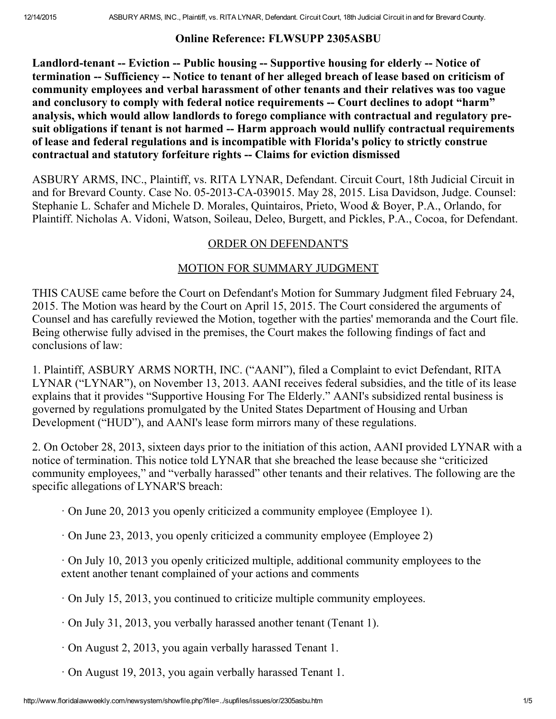## Online Reference: FLWSUPP 2305ASBU

Landlord-tenant -- Eviction -- Public housing -- Supportive housing for elderly -- Notice of termination -- Sufficiency -- Notice to tenant of her alleged breach of lease based on criticism of community employees and verbal harassment of other tenants and their relatives was too vague and conclusory to comply with federal notice requirements -- Court declines to adopt "harm" analysis, which would allow landlords to forego compliance with contractual and regulatory presuit obligations if tenant is not harmed -- Harm approach would nullify contractual requirements of lease and federal regulations and is incompatible with Florida's policy to strictly construe contractual and statutory forfeiture rights Claims for eviction dismissed

ASBURY ARMS, INC., Plaintiff, vs. RITA LYNAR, Defendant. Circuit Court, 18th Judicial Circuit in and for Brevard County. Case No. 05-2013-CA-039015. May 28, 2015. Lisa Davidson, Judge. Counsel: Stephanie L. Schafer and Michele D. Morales, Quintairos, Prieto, Wood & Boyer, P.A., Orlando, for Plaintiff. Nicholas A. Vidoni, Watson, Soileau, Deleo, Burgett, and Pickles, P.A., Cocoa, for Defendant.

## ORDER ON DEFENDANT'S

## MOTION FOR SUMMARY JUDGMENT

THIS CAUSE came before the Court on Defendant's Motion for Summary Judgment filed February 24, 2015. The Motion was heard by the Court on April 15, 2015. The Court considered the arguments of Counsel and has carefully reviewed the Motion, together with the parties' memoranda and the Court file. Being otherwise fully advised in the premises, the Court makes the following findings of fact and conclusions of law:

1. Plaintiff, ASBURY ARMS NORTH, INC. ("AANI"), filed a Complaint to evict Defendant, RITA LYNAR ("LYNAR"), on November 13, 2013. AANI receives federal subsidies, and the title of its lease explains that it provides "Supportive Housing For The Elderly." AANI's subsidized rental business is governed by regulations promulgated by the United States Department of Housing and Urban Development ("HUD"), and AANI's lease form mirrors many of these regulations.

2. On October 28, 2013, sixteen days prior to the initiation of this action, AANI provided LYNAR with a notice of termination. This notice told LYNAR that she breached the lease because she "criticized community employees," and "verbally harassed" other tenants and their relatives. The following are the specific allegations of LYNAR'S breach:

- · On June 20, 2013 you openly criticized a community employee (Employee 1).
- · On June 23, 2013, you openly criticized a community employee (Employee 2)

· On July 10, 2013 you openly criticized multiple, additional community employees to the extent another tenant complained of your actions and comments

- · On July 15, 2013, you continued to criticize multiple community employees.
- · On July 31, 2013, you verbally harassed another tenant (Tenant 1).
- · On August 2, 2013, you again verbally harassed Tenant 1.
- · On August 19, 2013, you again verbally harassed Tenant 1.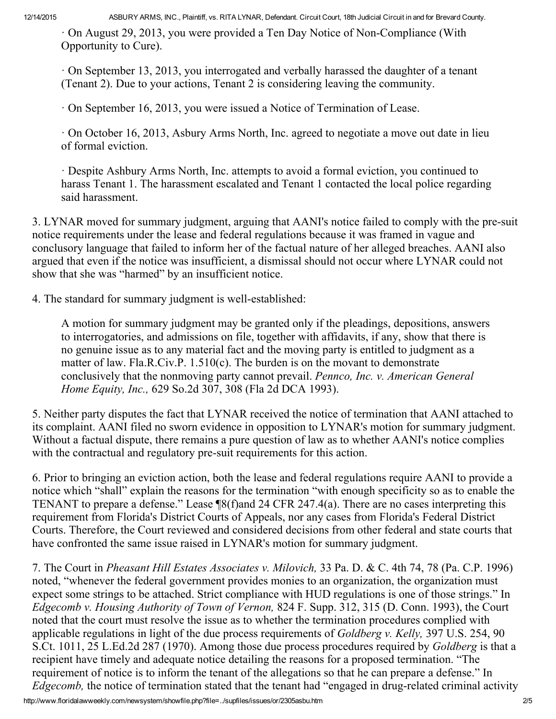$\cdot$  On August 29, 2013, you were provided a Ten Day Notice of Non-Compliance (With Opportunity to Cure).

· On September 13, 2013, you interrogated and verbally harassed the daughter of a tenant (Tenant 2). Due to your actions, Tenant 2 is considering leaving the community.

· On September 16, 2013, you were issued a Notice of Termination of Lease.

· On October 16, 2013, Asbury Arms North, Inc. agreed to negotiate a move out date in lieu of formal eviction.

· Despite Ashbury Arms North, Inc. attempts to avoid a formal eviction, you continued to harass Tenant 1. The harassment escalated and Tenant 1 contacted the local police regarding said harassment.

3. LYNAR moved for summary judgment, arguing that AANI's notice failed to comply with the pre-suit notice requirements under the lease and federal regulations because it was framed in vague and conclusory language that failed to inform her of the factual nature of her alleged breaches. AANI also argued that even if the notice was insufficient, a dismissal should not occur where LYNAR could not show that she was "harmed" by an insufficient notice.

4. The standard for summary judgment is well-established:

A motion for summary judgment may be granted only if the pleadings, depositions, answers to interrogatories, and admissions on file, together with affidavits, if any, show that there is no genuine issue as to any material fact and the moving party is entitled to judgment as a matter of law. Fla.R.Civ.P. 1.510(c). The burden is on the movant to demonstrate conclusively that the nonmoving party cannot prevail. Pennco, Inc. v. American General Home Equity, Inc., 629 So.2d 307, 308 (Fla 2d DCA 1993).

5. Neither party disputes the fact that LYNAR received the notice of termination that AANI attached to its complaint. AANI filed no sworn evidence in opposition to LYNAR's motion for summary judgment. Without a factual dispute, there remains a pure question of law as to whether AANI's notice complies with the contractual and regulatory pre-suit requirements for this action.

6. Prior to bringing an eviction action, both the lease and federal regulations require AANI to provide a notice which "shall" explain the reasons for the termination "with enough specificity so as to enable the TENANT to prepare a defense." Lease ¶8(f)and 24 CFR 247.4(a). There are no cases interpreting this requirement from Florida's District Courts of Appeals, nor any cases from Florida's Federal District Courts. Therefore, the Court reviewed and considered decisions from other federal and state courts that have confronted the same issue raised in LYNAR's motion for summary judgment.

7. The Court in Pheasant Hill Estates Associates v. Milovich, 33 Pa. D. & C. 4th 74, 78 (Pa. C.P. 1996) noted, "whenever the federal government provides monies to an organization, the organization must expect some strings to be attached. Strict compliance with HUD regulations is one of those strings." In Edgecomb v. Housing Authority of Town of Vernon, 824 F. Supp. 312, 315 (D. Conn. 1993), the Court noted that the court must resolve the issue as to whether the termination procedures complied with applicable regulations in light of the due process requirements of Goldberg v. Kelly, 397 U.S. 254, 90 S.Ct. 1011, 25 L.Ed.2d 287 (1970). Among those due process procedures required by Goldberg is that a recipient have timely and adequate notice detailing the reasons for a proposed termination. "The requirement of notice is to inform the tenant of the allegations so that he can prepare a defense." In Edgecomb, the notice of termination stated that the tenant had "engaged in drug-related criminal activity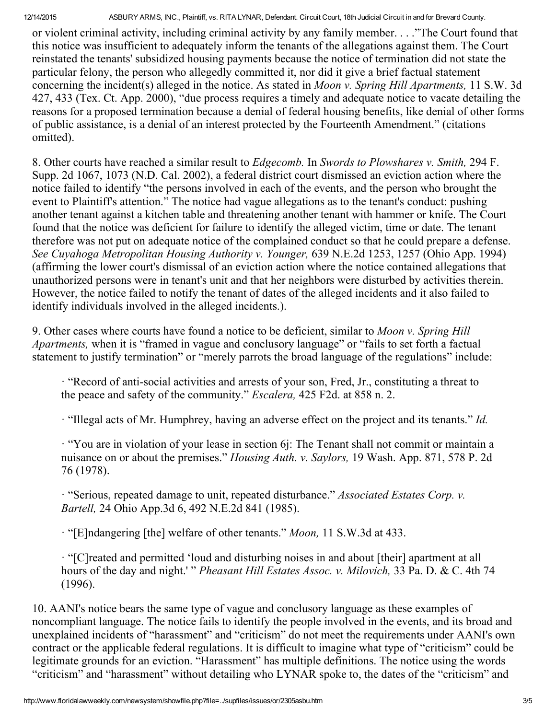or violent criminal activity, including criminal activity by any family member. . . ."The Court found that this notice was insufficient to adequately inform the tenants of the allegations against them. The Court reinstated the tenants' subsidized housing payments because the notice of termination did not state the particular felony, the person who allegedly committed it, nor did it give a brief factual statement concerning the incident(s) alleged in the notice. As stated in Moon v. Spring Hill Apartments, 11 S.W. 3d 427, 433 (Tex. Ct. App. 2000), "due process requires a timely and adequate notice to vacate detailing the reasons for a proposed termination because a denial of federal housing benefits, like denial of other forms of public assistance, is a denial of an interest protected by the Fourteenth Amendment." (citations omitted).

8. Other courts have reached a similar result to Edgecomb. In Swords to Plowshares v. Smith, 294 F. Supp. 2d 1067, 1073 (N.D. Cal. 2002), a federal district court dismissed an eviction action where the notice failed to identify "the persons involved in each of the events, and the person who brought the event to Plaintiff's attention." The notice had vague allegations as to the tenant's conduct: pushing another tenant against a kitchen table and threatening another tenant with hammer or knife. The Court found that the notice was deficient for failure to identify the alleged victim, time or date. The tenant therefore was not put on adequate notice of the complained conduct so that he could prepare a defense. See Cuyahoga Metropolitan Housing Authority v. Younger, 639 N.E.2d 1253, 1257 (Ohio App. 1994) (affirming the lower court's dismissal of an eviction action where the notice contained allegations that unauthorized persons were in tenant's unit and that her neighbors were disturbed by activities therein. However, the notice failed to notify the tenant of dates of the alleged incidents and it also failed to identify individuals involved in the alleged incidents.).

9. Other cases where courts have found a notice to be deficient, similar to Moon v. Spring Hill Apartments, when it is "framed in vague and conclusory language" or "fails to set forth a factual statement to justify termination" or "merely parrots the broad language of the regulations" include:

 $\cdot$  "Record of anti-social activities and arrests of your son, Fred, Jr., constituting a threat to the peace and safety of the community." *Escalera*, 425 F2d. at 858 n. 2.

 $\cdot$  "Illegal acts of Mr. Humphrey, having an adverse effect on the project and its tenants." Id.

· "You are in violation of your lease in section 6j: The Tenant shall not commit or maintain a nuisance on or about the premises." *Housing Auth. v. Saylors*, 19 Wash. App. 871, 578 P. 2d 76 (1978).

· "Serious, repeated damage to unit, repeated disturbance." Associated Estates Corp. v. Bartell, 24 Ohio App.3d 6, 492 N.E.2d 841 (1985).

· "[E]ndangering [the] welfare of other tenants." Moon, 11 S.W.3d at 433.

· "[C]reated and permitted 'loud and disturbing noises in and about [their] apartment at all hours of the day and night.' " Pheasant Hill Estates Assoc. v. Milovich, 33 Pa. D. & C. 4th 74 (1996).

10. AANI's notice bears the same type of vague and conclusory language as these examples of noncompliant language. The notice fails to identify the people involved in the events, and its broad and unexplained incidents of "harassment" and "criticism" do not meet the requirements under AANI's own contract or the applicable federal regulations. It is difficult to imagine what type of "criticism" could be legitimate grounds for an eviction. "Harassment" has multiple definitions. The notice using the words "criticism" and "harassment" without detailing who LYNAR spoke to, the dates of the "criticism" and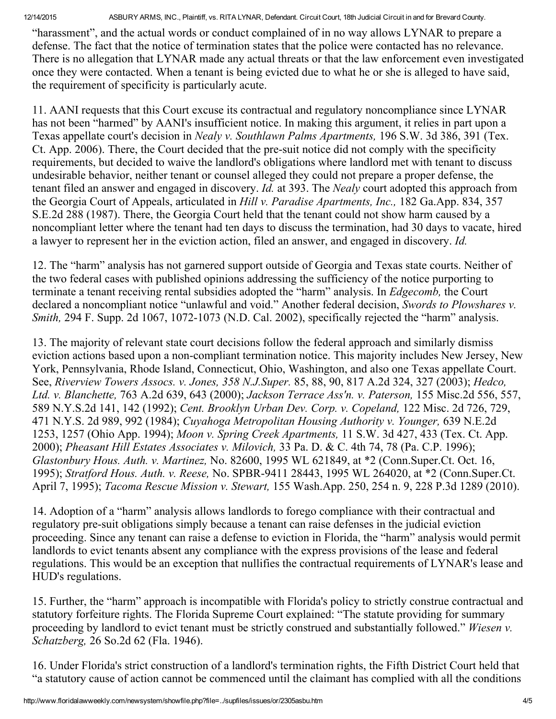"harassment", and the actual words or conduct complained of in no way allows LYNAR to prepare a defense. The fact that the notice of termination states that the police were contacted has no relevance. There is no allegation that LYNAR made any actual threats or that the law enforcement even investigated once they were contacted. When a tenant is being evicted due to what he or she is alleged to have said, the requirement of specificity is particularly acute.

11. AANI requests that this Court excuse its contractual and regulatory noncompliance since LYNAR has not been "harmed" by AANI's insufficient notice. In making this argument, it relies in part upon a Texas appellate court's decision in Nealy v. Southlawn Palms Apartments, 196 S.W. 3d 386, 391 (Tex. Ct. App. 2006). There, the Court decided that the pre-suit notice did not comply with the specificity requirements, but decided to waive the landlord's obligations where landlord met with tenant to discuss undesirable behavior, neither tenant or counsel alleged they could not prepare a proper defense, the tenant filed an answer and engaged in discovery. Id. at 393. The Nealy court adopted this approach from the Georgia Court of Appeals, articulated in Hill v. Paradise Apartments, Inc., 182 Ga.App. 834, 357 S.E.2d 288 (1987). There, the Georgia Court held that the tenant could not show harm caused by a noncompliant letter where the tenant had ten days to discuss the termination, had 30 days to vacate, hired a lawyer to represent her in the eviction action, filed an answer, and engaged in discovery. Id.

12. The "harm" analysis has not garnered support outside of Georgia and Texas state courts. Neither of the two federal cases with published opinions addressing the sufficiency of the notice purporting to terminate a tenant receiving rental subsidies adopted the "harm" analysis. In Edgecomb, the Court declared a noncompliant notice "unlawful and void." Another federal decision, Swords to Plowshares v. Smith, 294 F. Supp. 2d 1067, 1072-1073 (N.D. Cal. 2002), specifically rejected the "harm" analysis.

13. The majority of relevant state court decisions follow the federal approach and similarly dismiss eviction actions based upon a non-compliant termination notice. This majority includes New Jersey, New York, Pennsylvania, Rhode Island, Connecticut, Ohio, Washington, and also one Texas appellate Court. See, Riverview Towers Assocs. v. Jones, 358 N.J.Super. 85, 88, 90, 817 A.2d 324, 327 (2003); Hedco, Ltd. v. Blanchette, 763 A.2d 639, 643 (2000); Jackson Terrace Ass'n. v. Paterson, 155 Misc.2d 556, 557, 589 N.Y.S.2d 141, 142 (1992); Cent. Brooklyn Urban Dev. Corp. v. Copeland, 122 Misc. 2d 726, 729, 471 N.Y.S. 2d 989, 992 (1984); Cuyahoga Metropolitan Housing Authority v. Younger, 639 N.E.2d 1253, 1257 (Ohio App. 1994); Moon v. Spring Creek Apartments, 11 S.W. 3d 427, 433 (Tex. Ct. App. 2000); Pheasant Hill Estates Associates v. Milovich, 33 Pa. D. & C. 4th 74, 78 (Pa. C.P. 1996); Glastonbury Hous. Auth. v. Martinez, No. 82600, 1995 WL 621849, at \*2 (Conn.Super.Ct. Oct. 16, 1995); Stratford Hous. Auth. v. Reese, No. SPBR-9411 28443, 1995 WL 264020, at \*2 (Conn.Super.Ct. April 7, 1995); Tacoma Rescue Mission v. Stewart, 155 Wash.App. 250, 254 n. 9, 228 P.3d 1289 (2010).

14. Adoption of a "harm" analysis allows landlords to forego compliance with their contractual and regulatory pre-suit obligations simply because a tenant can raise defenses in the judicial eviction proceeding. Since any tenant can raise a defense to eviction in Florida, the "harm" analysis would permit landlords to evict tenants absent any compliance with the express provisions of the lease and federal regulations. This would be an exception that nullifies the contractual requirements of LYNAR's lease and HUD's regulations.

15. Further, the "harm" approach is incompatible with Florida's policy to strictly construe contractual and statutory forfeiture rights. The Florida Supreme Court explained: "The statute providing for summary proceeding by landlord to evict tenant must be strictly construed and substantially followed." Wiesen v. Schatzberg, 26 So.2d 62 (Fla. 1946).

16. Under Florida's strict construction of a landlord's termination rights, the Fifth District Court held that "a statutory cause of action cannot be commenced until the claimant has complied with all the conditions